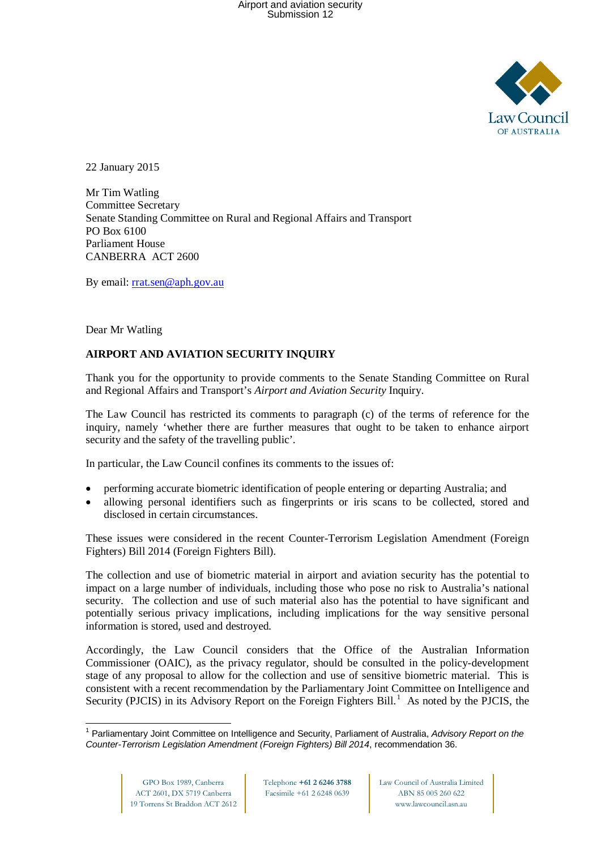

22 January 2015

Mr Tim Watling Committee Secretary Senate Standing Committee on Rural and Regional Affairs and Transport PO Box 6100 Parliament House CANBERRA ACT 2600

By email: [rrat.sen@aph.gov.au](mailto:rrat.sen@aph.gov.au)

Dear Mr Watling

## **AIRPORT AND AVIATION SECURITY INQUIRY**

Thank you for the opportunity to provide comments to the Senate Standing Committee on Rural and Regional Affairs and Transport's *Airport and Aviation Security* Inquiry.

The Law Council has restricted its comments to paragraph (c) of the terms of reference for the inquiry, namely 'whether there are further measures that ought to be taken to enhance airport security and the safety of the travelling public'.

In particular, the Law Council confines its comments to the issues of:

- performing accurate biometric identification of people entering or departing Australia; and
- allowing personal identifiers such as fingerprints or iris scans to be collected, stored and disclosed in certain circumstances.

These issues were considered in the recent Counter-Terrorism Legislation Amendment (Foreign Fighters) Bill 2014 (Foreign Fighters Bill).

The collection and use of biometric material in airport and aviation security has the potential to impact on a large number of individuals, including those who pose no risk to Australia's national security. The collection and use of such material also has the potential to have significant and potentially serious privacy implications, including implications for the way sensitive personal information is stored, used and destroyed.

Accordingly, the Law Council considers that the Office of the Australian Information Commissioner (OAIC), as the privacy regulator, should be consulted in the policy-development stage of any proposal to allow for the collection and use of sensitive biometric material. This is consistent with a recent recommendation by the Parliamentary Joint Committee on Intelligence and Security (PJCIS) in its Advisory Report on the Foreign Fighters Bill.<sup>[1](#page-0-0)</sup> As noted by the PJCIS, the

<span id="page-0-0"></span> $\overline{\phantom{a}}$ <sup>1</sup> Parliamentary Joint Committee on Intelligence and Security, Parliament of Australia, *Advisory Report on the Counter-Terrorism Legislation Amendment (Foreign Fighters) Bill 2014*, recommendation 36.